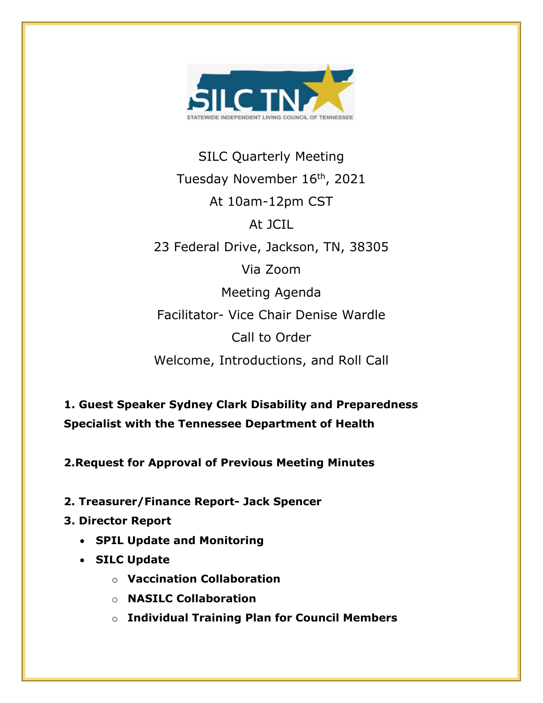

SILC Quarterly Meeting Tuesday November 16<sup>th</sup>, 2021 At 10am-12pm CST At JCIL 23 Federal Drive, Jackson, TN, 38305 Via Zoom Meeting Agenda Facilitator- Vice Chair Denise Wardle Call to Order Welcome, Introductions, and Roll Call

**1. Guest Speaker Sydney Clark Disability and Preparedness Specialist with the Tennessee Department of Health**

**2.Request for Approval of Previous Meeting Minutes**

- **2. Treasurer/Finance Report- Jack Spencer**
- **3. Director Report**
	- **SPIL Update and Monitoring**
	- **SILC Update**
		- o **Vaccination Collaboration**
		- o **NASILC Collaboration**
		- o **Individual Training Plan for Council Members**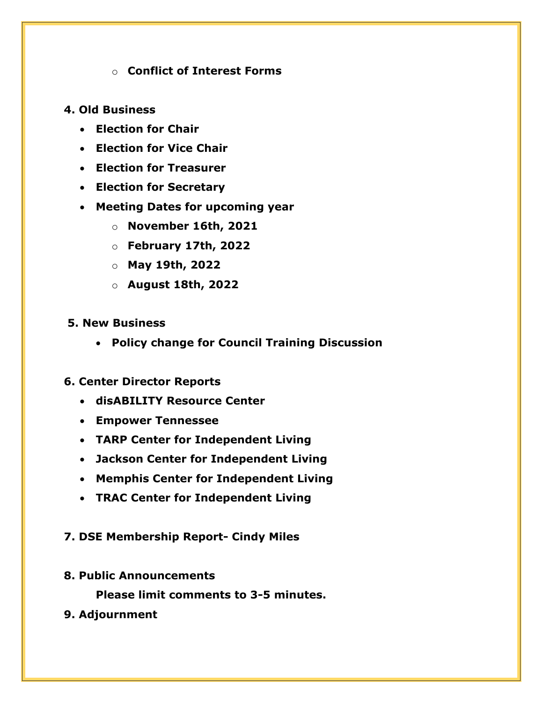# o **Conflict of Interest Forms**

# **4. Old Business**

- **Election for Chair**
- **Election for Vice Chair**
- **Election for Treasurer**
- **Election for Secretary**
- **Meeting Dates for upcoming year**
	- o **November 16th, 2021**
	- o **February 17th, 2022**
	- o **May 19th, 2022**
	- o **August 18th, 2022**

## **5. New Business**

• **Policy change for Council Training Discussion**

# **6. Center Director Reports**

- **disABILITY Resource Center**
- **Empower Tennessee**
- **TARP Center for Independent Living**
- **Jackson Center for Independent Living**
- **Memphis Center for Independent Living**
- **TRAC Center for Independent Living**

# **7. DSE Membership Report- Cindy Miles**

**8. Public Announcements**

**Please limit comments to 3-5 minutes.**

**9. Adjournment**